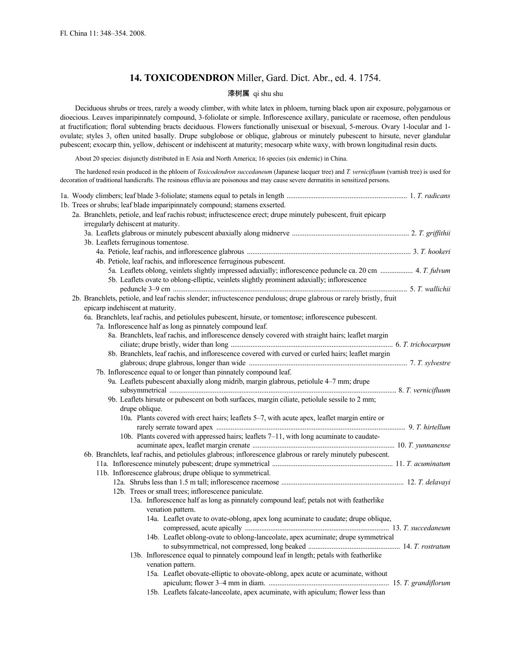# **14. TOXICODENDRON** Miller, Gard. Dict. Abr., ed. 4. 1754.

# 漆树属 qi shu shu

Deciduous shrubs or trees, rarely a woody climber, with white latex in phloem, turning black upon air exposure, polygamous or dioecious. Leaves imparipinnately compound, 3-foliolate or simple. Inflorescence axillary, paniculate or racemose, often pendulous at fructification; floral subtending bracts deciduous. Flowers functionally unisexual or bisexual, 5-merous. Ovary 1-locular and 1 ovulate; styles 3, often united basally. Drupe subglobose or oblique, glabrous or minutely pubescent to hirsute, never glandular pubescent; exocarp thin, yellow, dehiscent or indehiscent at maturity; mesocarp white waxy, with brown longitudinal resin ducts.

About 20 species: disjunctly distributed in E Asia and North America; 16 species (six endemic) in China.

The hardened resin produced in the phloem of *Toxicodendron succedaneum* (Japanese lacquer tree) and *T. vernicifluum* (varnish tree) is used for decoration of traditional handicrafts. The resinous effluvia are poisonous and may cause severe dermatitis in sensitized persons.

|  | 1b. Trees or shrubs; leaf blade imparipinnately compound; stamens exserted.                                         |  |
|--|---------------------------------------------------------------------------------------------------------------------|--|
|  | 2a. Branchlets, petiole, and leaf rachis robust; infructescence erect; drupe minutely pubescent, fruit epicarp      |  |
|  | irregularly dehiscent at maturity.                                                                                  |  |
|  |                                                                                                                     |  |
|  | 3b. Leaflets ferruginous tomentose.                                                                                 |  |
|  |                                                                                                                     |  |
|  | 4b. Petiole, leaf rachis, and inflorescence ferruginous pubescent.                                                  |  |
|  | 5a. Leaflets oblong, veinlets slightly impressed adaxially; inflorescence peduncle ca. 20 cm  4. T. fulvum          |  |
|  | 5b. Leaflets ovate to oblong-elliptic, veinlets slightly prominent adaxially; inflorescence                         |  |
|  |                                                                                                                     |  |
|  | 2b. Branchlets, petiole, and leaf rachis slender; infructescence pendulous; drupe glabrous or rarely bristly, fruit |  |
|  | epicarp indehiscent at maturity.                                                                                    |  |
|  | 6a. Branchlets, leaf rachis, and petiolules pubescent, hirsute, or tomentose; inflorescence pubescent.              |  |
|  | 7a. Inflorescence half as long as pinnately compound leaf.                                                          |  |
|  | 8a. Branchlets, leaf rachis, and inflorescence densely covered with straight hairs; leaflet margin                  |  |
|  |                                                                                                                     |  |
|  | 8b. Branchlets, leaf rachis, and inflorescence covered with curved or curled hairs; leaflet margin                  |  |
|  |                                                                                                                     |  |
|  | 7b. Inflorescence equal to or longer than pinnately compound leaf.                                                  |  |
|  | 9a. Leaflets pubescent abaxially along midrib, margin glabrous, petiolule 4–7 mm; drupe                             |  |
|  | 9b. Leaflets hirsute or pubescent on both surfaces, margin ciliate, petiolule sessile to 2 mm;                      |  |
|  | drupe oblique.                                                                                                      |  |
|  | 10a. Plants covered with erect hairs; leaflets 5-7, with acute apex, leaflet margin entire or                       |  |
|  |                                                                                                                     |  |
|  | 10b. Plants covered with appressed hairs; leaflets 7–11, with long acuminate to caudate-                            |  |
|  |                                                                                                                     |  |
|  | 6b. Branchlets, leaf rachis, and petiolules glabrous; inflorescence glabrous or rarely minutely pubescent.          |  |
|  |                                                                                                                     |  |
|  | 11b. Inflorescence glabrous; drupe oblique to symmetrical.                                                          |  |
|  |                                                                                                                     |  |
|  | 12b. Trees or small trees; inflorescence paniculate.                                                                |  |
|  | 13a. Inflorescence half as long as pinnately compound leaf; petals not with featherlike                             |  |
|  | venation pattern.                                                                                                   |  |
|  | 14a. Leaflet ovate to ovate-oblong, apex long acuminate to caudate; drupe oblique,                                  |  |
|  |                                                                                                                     |  |
|  | 14b. Leaflet oblong-ovate to oblong-lanceolate, apex acuminate; drupe symmetrical                                   |  |
|  |                                                                                                                     |  |
|  | 13b. Inflorescence equal to pinnately compound leaf in length; petals with featherlike                              |  |
|  | venation pattern.                                                                                                   |  |
|  | 15a. Leaflet obovate-elliptic to obovate-oblong, apex acute or acuminate, without                                   |  |
|  |                                                                                                                     |  |
|  | 15b. Leaflets falcate-lanceolate, apex acuminate, with apiculum; flower less than                                   |  |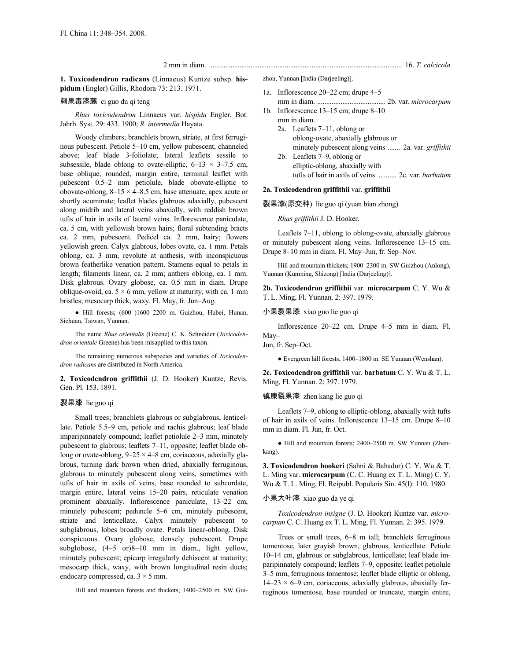2 mm in diam. ........................................................................................................... 16. *T. calcicola*

**1. Toxicodendron radicans** (Linnaeus) Kuntze subsp. **hispidum** (Engler) Gillis, Rhodora 73: 213. 1971.

# 刺果毒漆藤 ci guo du qi teng

*Rhus toxicodendron* Linnaeus var. *hispida* Engler, Bot. Jahrb. Syst. 29: 433. 1900; *R. intermedia* Hayata.

Woody climbers; branchlets brown, striate, at first ferruginous pubescent. Petiole 5–10 cm, yellow pubescent, channeled above; leaf blade 3-foliolate; lateral leaflets sessile to subsessile, blade oblong to ovate-elliptic,  $6-13 \times 3-7.5$  cm, base oblique, rounded, margin entire, terminal leaflet with pubescent 0.5–2 mm petiolule, blade obovate-elliptic to obovate-oblong,  $8-15 \times 4-8.5$  cm, base attenuate, apex acute or shortly acuminate; leaflet blades glabrous adaxially, pubescent along midrib and lateral veins abaxially, with reddish brown tufts of hair in axils of lateral veins. Inflorescence paniculate, ca. 5 cm, with yellowish brown hairs; floral subtending bracts ca. 2 mm, pubescent. Pedicel ca. 2 mm, hairy; flowers yellowish green. Calyx glabrous, lobes ovate, ca. 1 mm. Petals oblong, ca. 3 mm, revolute at anthesis, with inconspicuous brown featherlike venation pattern. Stamens equal to petals in length; filaments linear, ca. 2 mm; anthers oblong, ca. 1 mm. Disk glabrous. Ovary globose, ca. 0.5 mm in diam. Drupe oblique-ovoid, ca.  $5 \times 6$  mm, yellow at maturity, with ca. 1 mm bristles; mesocarp thick, waxy. Fl. May, fr. Jun–Aug.

● Hill forests; (600–)1600–2200 m. Guizhou, Hubei, Hunan, Sichuan, Taiwan, Yunnan.

The name *Rhus orientalis* (Greene) C. K. Schneider (*Toxicodendron orientale* Greene) has been misapplied to this taxon.

The remaining numerous subspecies and varieties of *Toxicodendron radicans* are distributed in North America.

**2. Toxicodendron griffithii** (J. D. Hooker) Kuntze, Revis. Gen. Pl. 153. 1891.

#### 裂果漆 lie guo qi

Small trees; branchlets glabrous or subglabrous, lenticellate. Petiole 5.5–9 cm, petiole and rachis glabrous; leaf blade imparipinnately compound; leaflet petiolule 2–3 mm, minutely pubescent to glabrous; leaflets 7–11, opposite; leaflet blade oblong or ovate-oblong,  $9-25 \times 4-8$  cm, coriaceous, adaxially glabrous, turning dark brown when dried, abaxially ferruginous, glabrous to minutely pubescent along veins, sometimes with tufts of hair in axils of veins, base rounded to subcordate, margin entire, lateral veins 15–20 pairs, reticulate venation prominent abaxially. Inflorescence paniculate, 13–22 cm, minutely pubescent; peduncle 5–6 cm, minutely pubescent, striate and lenticellate. Calyx minutely pubescent to subglabrous, lobes broadly ovate. Petals linear-oblong. Disk conspicuous. Ovary globose, densely pubescent. Drupe subglobose, (4–5 or)8–10 mm in diam., light yellow, minutely pubescent; epicarp irregularly dehiscent at maturity; mesocarp thick, waxy, with brown longitudinal resin ducts; endocarp compressed, ca.  $3 \times 5$  mm.

Hill and mountain forests and thickets; 1400–2500 m. SW Gui-

zhou, Yunnan [India (Darjeeling)].

- 1a. Inflorescence 20–22 cm; drupe 4–5 mm in diam. ...................................... 2b. var. *microcarpum*
- 1b. Inflorescence 13–15 cm; drupe 8–10 mm in diam.
	- 2a. Leaflets 7–11, oblong or oblong-ovate, abaxially glabrous or minutely pubescent along veins ....... 2a. var. *griffithii*
	- 2b. Leaflets 7–9, oblong or elliptic-oblong, abaxially with tufts of hair in axils of veins .......... 2c. var. *barbatum*

#### **2a. Toxicodendron griffithii** var. **griffithii**

裂果漆(原变种) lie guo qi (yuan bian zhong)

*Rhus griffithii* J. D. Hooker.

Leaflets 7–11, oblong to oblong-ovate, abaxially glabrous or minutely pubescent along veins. Inflorescence 13–15 cm. Drupe 8–10 mm in diam. Fl. May–Jun, fr. Sep–Nov.

Hill and mountain thickets; 1900–2300 m. SW Guizhou (Anlong), Yunnan (Kunming, Shizong) [India (Darjeeling)].

**2b. Toxicodendron griffithii** var. **microcarpum** C. Y. Wu & T. L. Ming, Fl. Yunnan. 2: 397. 1979.

小果裂果漆 xiao guo lie guo qi

Inflorescence 20–22 cm. Drupe 4–5 mm in diam. Fl. May–

Jun, fr. Sep–Oct.

● Evergreen hill forests; 1400–1800 m. SE Yunnan (Wenshan).

**2c. Toxicodendron griffithii** var. **barbatum** C. Y. Wu & T. L. Ming, Fl. Yunnan. 2: 397. 1979.

#### 镇康裂果漆 zhen kang lie guo qi

Leaflets 7–9, oblong to elliptic-oblong, abaxially with tufts of hair in axils of veins. Inflorescence 13–15 cm. Drupe 8–10 mm in diam. Fl. Jun, fr. Oct.

● Hill and mountain forests; 2400–2500 m. SW Yunnan (Zhenkang).

**3. Toxicodendron hookeri** (Sahni & Bahadur) C. Y. Wu & T. L. Ming var. **microcarpum** (C. C. Huang ex T. L. Ming) C. Y. Wu & T. L. Ming, Fl. Reipubl. Popularis Sin. 45(l): 110. 1980.

小果大叶漆 xiao guo da ye qi

*Toxicodendron insigne* (J. D. Hooker) Kuntze var. *microcarpum* C. C. Huang ex T. L. Ming, Fl. Yunnan. 2: 395. 1979.

Trees or small trees, 6–8 m tall; branchlets ferruginous tomentose, later grayish brown, glabrous, lenticellate. Petiole 10–14 cm, glabrous or subglabrous, lenticellate; leaf blade imparipinnately compound; leaflets 7–9, opposite; leaflet petiolule 3–5 mm, ferruginous tomentose; leaflet blade elliptic or oblong,  $14-23 \times 6-9$  cm, coriaceous, adaxially glabrous, abaxially ferruginous tomentose, base rounded or truncate, margin entire,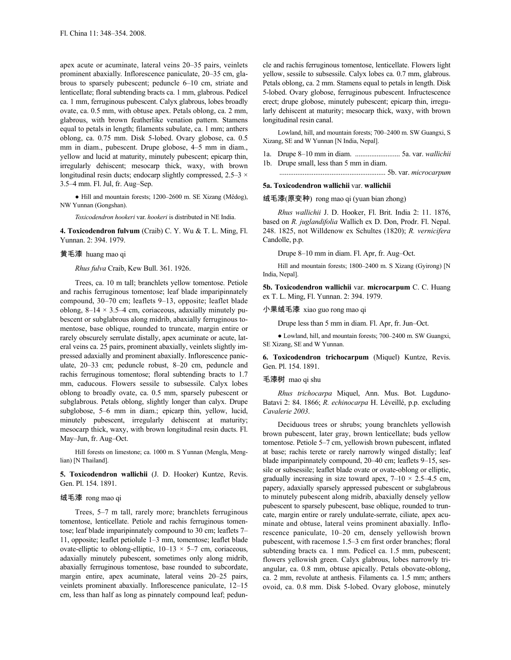apex acute or acuminate, lateral veins 20–35 pairs, veinlets prominent abaxially. Inflorescence paniculate, 20–35 cm, glabrous to sparsely pubescent; peduncle 6–10 cm, striate and lenticellate; floral subtending bracts ca. 1 mm, glabrous. Pedicel ca. 1 mm, ferruginous pubescent. Calyx glabrous, lobes broadly ovate, ca. 0.5 mm, with obtuse apex. Petals oblong, ca. 2 mm, glabrous, with brown featherlike venation pattern. Stamens equal to petals in length; filaments subulate, ca. 1 mm; anthers oblong, ca. 0.75 mm. Disk 5-lobed. Ovary globose, ca. 0.5 mm in diam., pubescent. Drupe globose, 4–5 mm in diam., yellow and lucid at maturity, minutely pubescent; epicarp thin, irregularly dehiscent; mesocarp thick, waxy, with brown longitudinal resin ducts; endocarp slightly compressed,  $2.5-3 \times$ 3.5–4 mm. Fl. Jul, fr. Aug–Sep.

● Hill and mountain forests; 1200–2600 m. SE Xizang (Mêdog), NW Yunnan (Gongshan).

*Toxicodendron hookeri* var. *hookeri* is distributed in NE India.

**4. Toxicodendron fulvum** (Craib) C. Y. Wu & T. L. Ming, Fl. Yunnan. 2: 394. 1979.

### 黄毛漆 huang mao qi

*Rhus fulva* Craib, Kew Bull. 361. 1926.

Trees, ca. 10 m tall; branchlets yellow tomentose. Petiole and rachis ferruginous tomentose; leaf blade imparipinnately compound, 30–70 cm; leaflets 9–13, opposite; leaflet blade oblong,  $8-14 \times 3.5-4$  cm, coriaceous, adaxially minutely pubescent or subglabrous along midrib, abaxially ferruginous tomentose, base oblique, rounded to truncate, margin entire or rarely obscurely serrulate distally, apex acuminate or acute, lateral veins ca. 25 pairs, prominent abaxially, veinlets slightly impressed adaxially and prominent abaxially. Inflorescence paniculate, 20–33 cm; peduncle robust, 8–20 cm, peduncle and rachis ferruginous tomentose; floral subtending bracts to 1.7 mm, caducous. Flowers sessile to subsessile. Calyx lobes oblong to broadly ovate, ca. 0.5 mm, sparsely pubescent or subglabrous. Petals oblong, slightly longer than calyx. Drupe subglobose, 5–6 mm in diam.; epicarp thin, yellow, lucid, minutely pubescent, irregularly dehiscent at maturity; mesocarp thick, waxy, with brown longitudinal resin ducts. Fl. May–Jun, fr. Aug–Oct.

Hill forests on limestone; ca. 1000 m. S Yunnan (Mengla, Menglian) [N Thailand].

**5. Toxicodendron wallichii** (J. D. Hooker) Kuntze, Revis. Gen. Pl. 154. 1891.

# 绒毛漆 rong mao qi

Trees, 5–7 m tall, rarely more; branchlets ferruginous tomentose, lenticellate. Petiole and rachis ferruginous tomentose; leaf blade imparipinnately compound to 30 cm; leaflets 7– 11, opposite; leaflet petiolule 1–3 mm, tomentose; leaflet blade ovate-elliptic to oblong-elliptic,  $10-13 \times 5-7$  cm, coriaceous, adaxially minutely pubescent, sometimes only along midrib, abaxially ferruginous tomentose, base rounded to subcordate, margin entire, apex acuminate, lateral veins 20–25 pairs, veinlets prominent abaxially. Inflorescence paniculate, 12–15 cm, less than half as long as pinnately compound leaf; peduncle and rachis ferruginous tomentose, lenticellate. Flowers light yellow, sessile to subsessile. Calyx lobes ca. 0.7 mm, glabrous. Petals oblong, ca. 2 mm. Stamens equal to petals in length. Disk 5-lobed. Ovary globose, ferruginous pubescent. Infructescence erect; drupe globose, minutely pubescent; epicarp thin, irregularly dehiscent at maturity; mesocarp thick, waxy, with brown longitudinal resin canal.

Lowland, hill, and mountain forests; 700–2400 m. SW Guangxi, S Xizang, SE and W Yunnan [N India, Nepal].

1a. Drupe 8–10 mm in diam. ......................... 5a. var. *wallichii* 1b. Drupe small, less than 5 mm in diam.

........................................................... 5b. var. *microcarpum*

## **5a. Toxicodendron wallichii** var. **wallichii**

绒毛漆(原变种) rong mao qi (yuan bian zhong)

*Rhus wallichii* J. D. Hooker, Fl. Brit. India 2: 11. 1876, based on *R. juglandifolia* Wallich ex D. Don, Prodr. Fl. Nepal. 248. 1825, not Willdenow ex Schultes (1820); *R. vernicifera* Candolle, p.p.

Drupe 8–10 mm in diam. Fl. Apr, fr. Aug–Oct.

Hill and mountain forests; 1800–2400 m. S Xizang (Gyirong) [N India, Nepal].

**5b. Toxicodendron wallichii** var. **microcarpum** C. C. Huang ex T. L. Ming, Fl. Yunnan. 2: 394. 1979.

#### 小果绒毛漆 xiao guo rong mao qi

Drupe less than 5 mm in diam. Fl. Apr, fr. Jun–Oct.

● Lowland, hill, and mountain forests; 700–2400 m. SW Guangxi, SE Xizang, SE and W Yunnan.

**6. Toxicodendron trichocarpum** (Miquel) Kuntze, Revis. Gen. Pl. 154. 1891.

## 毛漆树 mao qi shu

*Rhus trichocarpa* Miquel, Ann. Mus. Bot. Lugduno-Batavi 2: 84. 1866; *R. echinocarpa* H. Léveillé, p.p. excluding *Cavalerie 2003*.

Deciduous trees or shrubs; young branchlets yellowish brown pubescent, later gray, brown lenticellate; buds yellow tomentose. Petiole 5–7 cm, yellowish brown pubescent, inflated at base; rachis terete or rarely narrowly winged distally; leaf blade imparipinnately compound, 20–40 cm; leaflets 9–15, sessile or subsessile; leaflet blade ovate or ovate-oblong or elliptic, gradually increasing in size toward apex,  $7-10 \times 2.5-4.5$  cm, papery, adaxially sparsely appressed pubescent or subglabrous to minutely pubescent along midrib, abaxially densely yellow pubescent to sparsely pubescent, base oblique, rounded to truncate, margin entire or rarely undulate-serrate, ciliate, apex acuminate and obtuse, lateral veins prominent abaxially. Inflorescence paniculate, 10–20 cm, densely yellowish brown pubescent, with racemose 1.5–3 cm first order branches; floral subtending bracts ca. 1 mm. Pedicel ca. 1.5 mm, pubescent; flowers yellowish green. Calyx glabrous, lobes narrowly triangular, ca. 0.8 mm, obtuse apically. Petals obovate-oblong, ca. 2 mm, revolute at anthesis. Filaments ca. 1.5 mm; anthers ovoid, ca. 0.8 mm. Disk 5-lobed. Ovary globose, minutely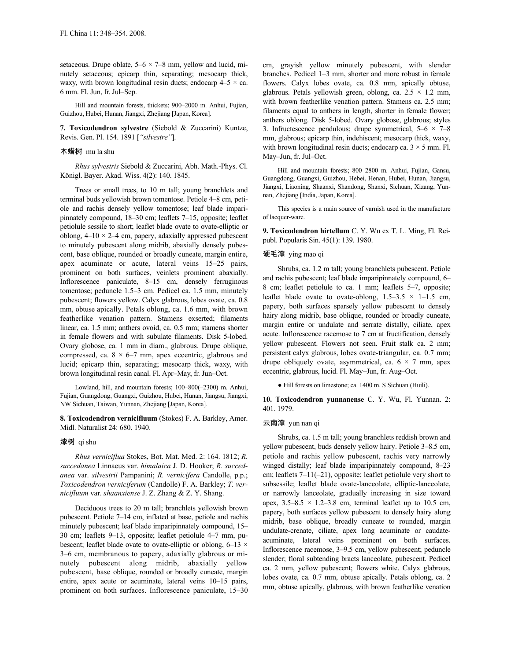setaceous. Drupe oblate,  $5-6 \times 7-8$  mm, yellow and lucid, minutely setaceous; epicarp thin, separating; mesocarp thick, waxy, with brown longitudinal resin ducts; endocarp  $4-5 \times ca$ . 6 mm. Fl. Jun, fr. Jul–Sep.

Hill and mountain forests, thickets; 900–2000 m. Anhui, Fujian, Guizhou, Hubei, Hunan, Jiangxi, Zhejiang [Japan, Korea].

**7. Toxicodendron sylvestre** (Siebold & Zuccarini) Kuntze, Revis. Gen. Pl. 154. 1891 [*"silvestre"*].

## 木蜡树 mu la shu

*Rhus sylvestris* Siebold & Zuccarini, Abh. Math.-Phys. Cl. Königl. Bayer. Akad. Wiss. 4(2): 140. 1845.

Trees or small trees, to 10 m tall; young branchlets and terminal buds yellowish brown tomentose. Petiole 4–8 cm, petiole and rachis densely yellow tomentose; leaf blade imparipinnately compound, 18–30 cm; leaflets 7–15, opposite; leaflet petiolule sessile to short; leaflet blade ovate to ovate-elliptic or oblong,  $4-10 \times 2-4$  cm, papery, adaxially appressed pubescent to minutely pubescent along midrib, abaxially densely pubescent, base oblique, rounded or broadly cuneate, margin entire, apex acuminate or acute, lateral veins 15–25 pairs, prominent on both surfaces, veinlets prominent abaxially. Inflorescence paniculate, 8–15 cm, densely ferruginous tomentose; peduncle 1.5–3 cm. Pedicel ca. 1.5 mm, minutely pubescent; flowers yellow. Calyx glabrous, lobes ovate, ca. 0.8 mm, obtuse apically. Petals oblong, ca. 1.6 mm, with brown featherlike venation pattern. Stamens exserted; filaments linear, ca. 1.5 mm; anthers ovoid, ca. 0.5 mm; stamens shorter in female flowers and with subulate filaments. Disk 5-lobed. Ovary globose, ca. 1 mm in diam., glabrous. Drupe oblique, compressed, ca.  $8 \times 6-7$  mm, apex eccentric, glabrous and lucid; epicarp thin, separating; mesocarp thick, waxy, with brown longitudinal resin canal. Fl. Apr–May, fr. Jun–Oct.

Lowland, hill, and mountain forests; 100–800(–2300) m. Anhui, Fujian, Guangdong, Guangxi, Guizhou, Hubei, Hunan, Jiangsu, Jiangxi, NW Sichuan, Taiwan, Yunnan, Zhejiang [Japan, Korea].

**8. Toxicodendron vernicifluum** (Stokes) F. A. Barkley, Amer. Midl. Naturalist 24: 680. 1940.

#### 漆树 qi shu

*Rhus verniciflua* Stokes, Bot. Mat. Med. 2: 164. 1812; *R. succedanea* Linnaeus var. *himalaica* J. D. Hooker; *R. succedanea* var. *silvestrii* Pampanini; *R. vernicifera* Candolle, p.p.; *Toxicodendron verniciferum* (Candolle) F. A. Barkley; *T. vernicifluum* var. *shaanxiense* J. Z. Zhang & Z. Y. Shang.

Deciduous trees to 20 m tall; branchlets yellowish brown pubescent. Petiole 7–14 cm, inflated at base, petiole and rachis minutely pubescent; leaf blade imparipinnately compound, 15– 30 cm; leaflets 9–13, opposite; leaflet petiolule 4–7 mm, pubescent; leaflet blade ovate to ovate-elliptic or oblong,  $6-13 \times$ 3–6 cm, membranous to papery, adaxially glabrous or minutely pubescent along midrib, abaxially yellow pubescent, base oblique, rounded or broadly cuneate, margin entire, apex acute or acuminate, lateral veins 10–15 pairs, prominent on both surfaces. Inflorescence paniculate, 15–30 cm, grayish yellow minutely pubescent, with slender branches. Pedicel 1–3 mm, shorter and more robust in female flowers. Calyx lobes ovate, ca. 0.8 mm, apically obtuse, glabrous. Petals yellowish green, oblong, ca.  $2.5 \times 1.2$  mm, with brown featherlike venation pattern. Stamens ca. 2.5 mm; filaments equal to anthers in length, shorter in female flower; anthers oblong. Disk 5-lobed. Ovary globose, glabrous; styles 3. Infructescence pendulous; drupe symmetrical,  $5-6 \times 7-8$ mm, glabrous; epicarp thin, indehiscent; mesocarp thick, waxy, with brown longitudinal resin ducts; endocarp ca.  $3 \times 5$  mm. Fl. May–Jun, fr. Jul–Oct.

Hill and mountain forests; 800–2800 m. Anhui, Fujian, Gansu, Guangdong, Guangxi, Guizhou, Hebei, Henan, Hubei, Hunan, Jiangsu, Jiangxi, Liaoning, Shaanxi, Shandong, Shanxi, Sichuan, Xizang, Yunnan, Zhejiang [India, Japan, Korea].

This species is a main source of varnish used in the manufacture of lacquer-ware.

**9. Toxicodendron hirtellum** C. Y. Wu ex T. L. Ming, Fl. Reipubl. Popularis Sin. 45(1): 139. 1980.

#### 硬毛漆 ying mao qi

Shrubs, ca. 1.2 m tall; young branchlets pubescent. Petiole and rachis pubescent; leaf blade imparipinnately compound, 6– 8 cm; leaflet petiolule to ca. 1 mm; leaflets 5–7, opposite; leaflet blade ovate to ovate-oblong,  $1.5-3.5 \times 1-1.5$  cm, papery, both surfaces sparsely yellow pubescent to densely hairy along midrib, base oblique, rounded or broadly cuneate, margin entire or undulate and serrate distally, ciliate, apex acute. Inflorescence racemose to 7 cm at fructification, densely yellow pubescent. Flowers not seen. Fruit stalk ca. 2 mm; persistent calyx glabrous, lobes ovate-triangular, ca. 0.7 mm; drupe obliquely ovate, asymmetrical, ca.  $6 \times 7$  mm, apex eccentric, glabrous, lucid. Fl. May–Jun, fr. Aug–Oct.

● Hill forests on limestone; ca. 1400 m. S Sichuan (Huili).

**10. Toxicodendron yunnanense** C. Y. Wu, Fl. Yunnan. 2: 401. 1979.

#### 云南漆 yun nan qi

Shrubs, ca. 1.5 m tall; young branchlets reddish brown and yellow pubescent, buds densely yellow hairy. Petiole 3–8.5 cm, petiole and rachis yellow pubescent, rachis very narrowly winged distally; leaf blade imparipinnately compound, 8–23 cm; leaflets 7–11(–21), opposite; leaflet petiolule very short to subsessile; leaflet blade ovate-lanceolate, elliptic-lanceolate, or narrowly lanceolate, gradually increasing in size toward apex,  $3.5-8.5 \times 1.2-3.8$  cm, terminal leaflet up to 10.5 cm, papery, both surfaces yellow pubescent to densely hairy along midrib, base oblique, broadly cuneate to rounded, margin undulate-crenate, ciliate, apex long acuminate or caudateacuminate, lateral veins prominent on both surfaces. Inflorescence racemose, 3–9.5 cm, yellow pubescent; peduncle slender; floral subtending bracts lanceolate, pubescent. Pedicel ca. 2 mm, yellow pubescent; flowers white. Calyx glabrous, lobes ovate, ca. 0.7 mm, obtuse apically. Petals oblong, ca. 2 mm, obtuse apically, glabrous, with brown featherlike venation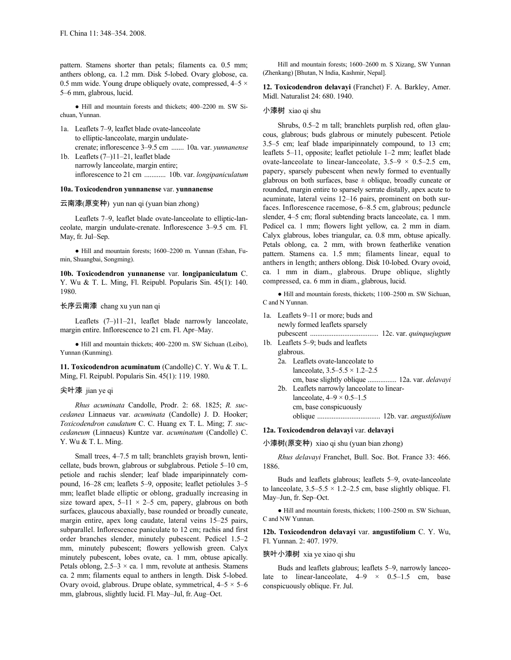pattern. Stamens shorter than petals; filaments ca. 0.5 mm; anthers oblong, ca. 1.2 mm. Disk 5-lobed. Ovary globose, ca. 0.5 mm wide. Young drupe obliquely ovate, compressed,  $4-5 \times$ 5–6 mm, glabrous, lucid.

● Hill and mountain forests and thickets; 400–2200 m. SW Sichuan, Yunnan.

- 1a. Leaflets 7–9, leaflet blade ovate-lanceolate to elliptic-lanceolate, margin undulatecrenate; inflorescence 3–9.5 cm ....... 10a. var. *yunnanense* 1b. Leaflets (7–)11–21, leaflet blade
	- narrowly lanceolate, margin entire; inflorescence to 21 cm ............ 10b. var. *longipaniculatum*

## **10a. Toxicodendron yunnanense** var. **yunnanense**

## 云南漆(原变种) yun nan qi (yuan bian zhong)

Leaflets 7–9, leaflet blade ovate-lanceolate to elliptic-lanceolate, margin undulate-crenate. Inflorescence 3–9.5 cm. Fl. May, fr. Jul–Sep.

● Hill and mountain forests; 1600–2200 m. Yunnan (Eshan, Fumin, Shuangbai, Songming).

**10b. Toxicodendron yunnanense** var. **longipaniculatum** C. Y. Wu & T. L. Ming, Fl. Reipubl. Popularis Sin. 45(1): 140. 1980.

#### 长序云南漆 chang xu yun nan qi

Leaflets (7–)11–21, leaflet blade narrowly lanceolate, margin entire. Inflorescence to 21 cm. Fl. Apr–May.

● Hill and mountain thickets; 400–2200 m. SW Sichuan (Leibo), Yunnan (Kunming).

**11. Toxicodendron acuminatum** (Candolle) C. Y. Wu & T. L. Ming, Fl. Reipubl. Popularis Sin. 45(1): 119. 1980.

#### 尖叶漆 jian ye qi

*Rhus acuminata* Candolle, Prodr. 2: 68. 1825; *R. succedanea* Linnaeus var. *acuminata* (Candolle) J. D. Hooker; *Toxicodendron caudatum* C. C. Huang ex T. L. Ming; *T. succedaneum* (Linnaeus) Kuntze var. *acuminatum* (Candolle) C. Y. Wu & T. L. Ming.

Small trees, 4–7.5 m tall; branchlets grayish brown, lenticellate, buds brown, glabrous or subglabrous. Petiole 5–10 cm, petiole and rachis slender; leaf blade imparipinnately compound, 16–28 cm; leaflets 5–9, opposite; leaflet petiolules 3–5 mm; leaflet blade elliptic or oblong, gradually increasing in size toward apex,  $5-11 \times 2-5$  cm, papery, glabrous on both surfaces, glaucous abaxially, base rounded or broadly cuneate, margin entire, apex long caudate, lateral veins 15–25 pairs, subparallel. Inflorescence paniculate to 12 cm; rachis and first order branches slender, minutely pubescent. Pedicel 1.5–2 mm, minutely pubescent; flowers yellowish green. Calyx minutely pubescent, lobes ovate, ca. 1 mm, obtuse apically. Petals oblong,  $2.5-3 \times$  ca. 1 mm, revolute at anthesis. Stamens ca. 2 mm; filaments equal to anthers in length. Disk 5-lobed. Ovary ovoid, glabrous. Drupe oblate, symmetrical,  $4-5 \times 5-6$ mm, glabrous, slightly lucid. Fl. May–Jul, fr. Aug–Oct.

Hill and mountain forests; 1600–2600 m. S Xizang, SW Yunnan (Zhenkang) [Bhutan, N India, Kashmir, Nepal].

**12. Toxicodendron delavayi** (Franchet) F. A. Barkley, Amer. Midl. Naturalist 24: 680. 1940.

#### 小漆树 xiao qi shu

Shrubs, 0.5–2 m tall; branchlets purplish red, often glaucous, glabrous; buds glabrous or minutely pubescent. Petiole 3.5–5 cm; leaf blade imparipinnately compound, to 13 cm; leaflets 5–11, opposite; leaflet petiolule 1–2 mm; leaflet blade ovate-lanceolate to linear-lanceolate,  $3.5-9 \times 0.5-2.5$  cm, papery, sparsely pubescent when newly formed to eventually glabrous on both surfaces, base  $\pm$  oblique, broadly cuneate or rounded, margin entire to sparsely serrate distally, apex acute to acuminate, lateral veins 12–16 pairs, prominent on both surfaces. Inflorescence racemose, 6–8.5 cm, glabrous; peduncle slender, 4–5 cm; floral subtending bracts lanceolate, ca. 1 mm. Pedicel ca. 1 mm; flowers light yellow, ca. 2 mm in diam. Calyx glabrous, lobes triangular, ca. 0.8 mm, obtuse apically. Petals oblong, ca. 2 mm, with brown featherlike venation pattern. Stamens ca. 1.5 mm; filaments linear, equal to anthers in length; anthers oblong. Disk 10-lobed. Ovary ovoid, ca. 1 mm in diam., glabrous. Drupe oblique, slightly compressed, ca. 6 mm in diam., glabrous, lucid.

● Hill and mountain forests, thickets; 1100–2500 m. SW Sichuan, C and N Yunnan.

- 1a. Leaflets 9–11 or more; buds and newly formed leaflets sparsely pubescent ...................................... 12c. var. *quinquejugum*
- 1b. Leaflets 5–9; buds and leaflets glabrous. 2a. Leaflets ovate-lanceolate to lanceolate,  $3.5 - 5.5 \times 1.2 - 2.5$ 
	- cm, base slightly oblique ................ 12a. var. *delavayi* 2b. Leaflets narrowly lanceolate to linear-

lanceolate,  $4-9 \times 0.5-1.5$ 

cm, base conspicuously oblique ................................... 12b. var. *angustifolium*

# **12a. Toxicodendron delavayi** var. **delavayi**

小漆树(原变种) xiao qi shu (yuan bian zhong)

*Rhus delavayi* Franchet, Bull. Soc. Bot. France 33: 466. 1886.

Buds and leaflets glabrous; leaflets 5–9, ovate-lanceolate to lanceolate,  $3.5-5.5 \times 1.2-2.5$  cm, base slightly oblique. Fl. May–Jun, fr. Sep–Oct.

● Hill and mountain forests, thickets; 1100–2500 m. SW Sichuan, C and NW Yunnan.

**12b. Toxicodendron delavayi** var. **angustifolium** C. Y. Wu, Fl. Yunnan. 2: 407. 1979.

#### 狭叶小漆树 xia ye xiao qi shu

Buds and leaflets glabrous; leaflets 5–9, narrowly lanceolate to linear-lanceolate,  $4-9 \times 0.5-1.5$  cm, base conspicuously oblique. Fr. Jul.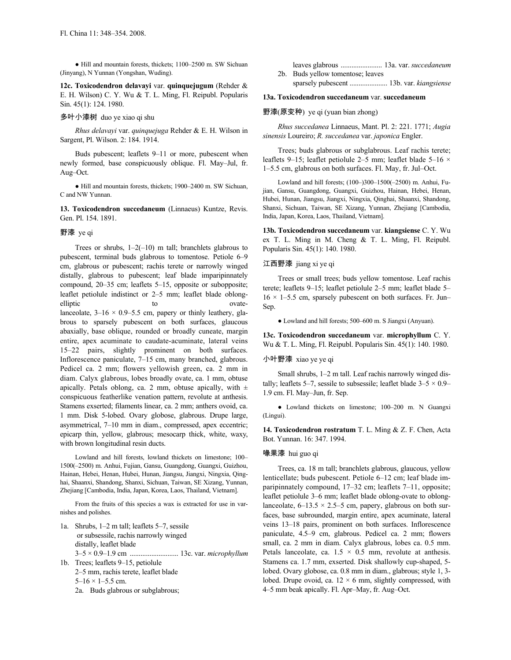● Hill and mountain forests, thickets; 1100–2500 m. SW Sichuan (Jinyang), N Yunnan (Yongshan, Wuding).

**12c. Toxicodendron delavayi** var. **quinquejugum** (Rehder & E. H. Wilson) C. Y. Wu & T. L. Ming, Fl. Reipubl. Popularis Sin. 45(1): 124. 1980.

## 多叶小漆树 duo ye xiao qi shu

*Rhus delavayi* var. *quinquejuga* Rehder & E. H. Wilson in Sargent, Pl. Wilson. 2: 184. 1914.

Buds pubescent; leaflets 9–11 or more, pubescent when newly formed, base conspicuously oblique. Fl. May–Jul, fr. Aug–Oct.

● Hill and mountain forests, thickets; 1900–2400 m. SW Sichuan, C and NW Yunnan.

**13. Toxicodendron succedaneum** (Linnaeus) Kuntze, Revis. Gen. Pl. 154. 1891.

## 野漆 ye qi

Trees or shrubs,  $1-2(-10)$  m tall; branchlets glabrous to pubescent, terminal buds glabrous to tomentose. Petiole 6–9 cm, glabrous or pubescent; rachis terete or narrowly winged distally, glabrous to pubescent; leaf blade imparipinnately compound, 20–35 cm; leaflets 5–15, opposite or subopposite; leaflet petiolule indistinct or 2–5 mm; leaflet blade oblongelliptic to to ovatelanceolate,  $3-16 \times 0.9-5.5$  cm, papery or thinly leathery, glabrous to sparsely pubescent on both surfaces, glaucous abaxially, base oblique, rounded or broadly cuneate, margin entire, apex acuminate to caudate-acuminate, lateral veins 15–22 pairs, slightly prominent on both surfaces. Inflorescence paniculate, 7–15 cm, many branched, glabrous. Pedicel ca. 2 mm; flowers yellowish green, ca. 2 mm in diam. Calyx glabrous, lobes broadly ovate, ca. 1 mm, obtuse apically. Petals oblong, ca. 2 mm, obtuse apically, with  $\pm$ conspicuous featherlike venation pattern, revolute at anthesis. Stamens exserted; filaments linear, ca. 2 mm; anthers ovoid, ca. 1 mm. Disk 5-lobed. Ovary globose, glabrous. Drupe large, asymmetrical, 7–10 mm in diam., compressed, apex eccentric; epicarp thin, yellow, glabrous; mesocarp thick, white, waxy, with brown longitudinal resin ducts.

Lowland and hill forests, lowland thickets on limestone; 100– 1500(–2500) m. Anhui, Fujian, Gansu, Guangdong, Guangxi, Guizhou, Hainan, Hebei, Henan, Hubei, Hunan, Jiangsu, Jiangxi, Ningxia, Qinghai, Shaanxi, Shandong, Shanxi, Sichuan, Taiwan, SE Xizang, Yunnan, Zhejiang [Cambodia, India, Japan, Korea, Laos, Thailand, Vietnam].

From the fruits of this species a wax is extracted for use in varnishes and polishes.

1a. Shrubs, 1–2 m tall; leaflets 5–7, sessile or subsessile, rachis narrowly winged distally, leaflet blade 3–5 × 0.9–1.9 cm ........................... 13c. var. *microphyllum* 1b. Trees; leaflets 9–15, petiolule

2–5 mm, rachis terete, leaflet blade  $5-16 \times 1-5.5$  cm. 2a. Buds glabrous or subglabrous;

leaves glabrous ....................... 13a. var. *succedaneum* 2b. Buds yellow tomentose; leaves

sparsely pubescent ..................... 13b. var. *kiangsiense*

# **13a. Toxicodendron succedaneum** var. **succedaneum**

#### 野漆(原变种) ye qi (yuan bian zhong)

*Rhus succedanea* Linnaeus, Mant. Pl. 2: 221. 1771; *Augia sinensis* Loureiro; *R. succedanea* var. *japonica* Engler.

Trees; buds glabrous or subglabrous. Leaf rachis terete; leaflets 9–15; leaflet petiolule 2–5 mm; leaflet blade 5–16 × 1–5.5 cm, glabrous on both surfaces. Fl. May, fr. Jul–Oct.

Lowland and hill forests; (100–)300–1500(–2500) m. Anhui, Fujian, Gansu, Guangdong, Guangxi, Guizhou, Hainan, Hebei, Henan, Hubei, Hunan, Jiangsu, Jiangxi, Ningxia, Qinghai, Shaanxi, Shandong, Shanxi, Sichuan, Taiwan, SE Xizang, Yunnan, Zhejiang [Cambodia, India, Japan, Korea, Laos, Thailand, Vietnam].

**13b. Toxicodendron succedaneum** var. **kiangsiense** C. Y. Wu ex T. L. Ming in M. Cheng & T. L. Ming, Fl. Reipubl. Popularis Sin. 45(1): 140. 1980.

#### 江西野漆 jiang xi ye qi

Trees or small trees; buds yellow tomentose. Leaf rachis terete; leaflets 9–15; leaflet petiolule 2–5 mm; leaflet blade 5–  $16 \times 1 - 5.5$  cm, sparsely pubescent on both surfaces. Fr. Jun– Sep.

● Lowland and hill forests; 500–600 m. S Jiangxi (Anyuan).

**13c. Toxicodendron succedaneum** var. **microphyllum** C. Y. Wu & T. L. Ming, Fl. Reipubl. Popularis Sin. 45(1): 140. 1980.

#### 小叶野漆 xiao ye ye qi

Small shrubs, 1–2 m tall. Leaf rachis narrowly winged distally; leaflets 5–7, sessile to subsessile; leaflet blade  $3-5 \times 0.9$ – 1.9 cm. Fl. May–Jun, fr. Sep.

● Lowland thickets on limestone; 100–200 m. N Guangxi (Lingui).

**14. Toxicodendron rostratum** T. L. Ming & Z. F. Chen, Acta Bot. Yunnan. 16: 347. 1994.

#### 喙果漆 hui guo qi

Trees, ca. 18 m tall; branchlets glabrous, glaucous, yellow lenticellate; buds pubescent. Petiole 6–12 cm; leaf blade imparipinnately compound, 17–32 cm; leaflets 7–11, opposite; leaflet petiolule 3–6 mm; leaflet blade oblong-ovate to oblonglanceolate,  $6-13.5 \times 2.5-5$  cm, papery, glabrous on both surfaces, base subrounded, margin entire, apex acuminate, lateral veins 13–18 pairs, prominent on both surfaces. Inflorescence paniculate, 4.5–9 cm, glabrous. Pedicel ca. 2 mm; flowers small, ca. 2 mm in diam. Calyx glabrous, lobes ca. 0.5 mm. Petals lanceolate, ca.  $1.5 \times 0.5$  mm, revolute at anthesis. Stamens ca. 1.7 mm, exserted. Disk shallowly cup-shaped, 5 lobed. Ovary globose, ca. 0.8 mm in diam., glabrous; style 1, 3 lobed. Drupe ovoid, ca.  $12 \times 6$  mm, slightly compressed, with 4–5 mm beak apically. Fl. Apr–May, fr. Aug–Oct.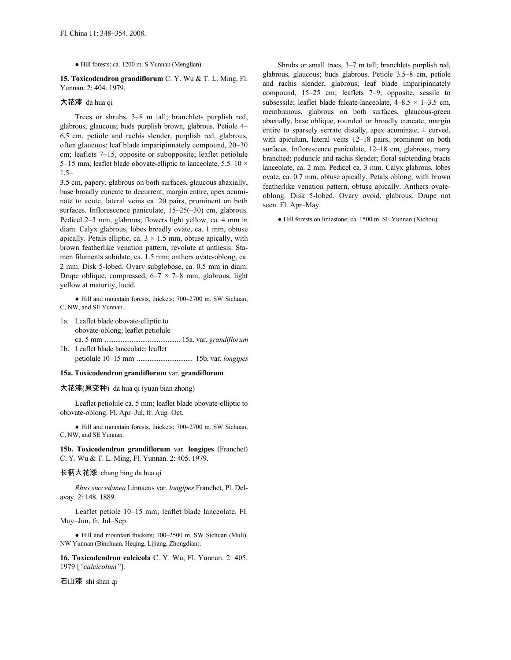● Hill forests; ca. 1200 m. S Yunnan (Menglian).

**15. Toxicodendron grandiflorum** C. Y. Wu & T. L. Ming, Fl. Yunnan. 2: 404. 1979.

#### 大花漆 da hua qi

Trees or shrubs, 3–8 m tall; branchlets purplish red, glabrous, glaucous; buds purplish brown, glabrous. Petiole 4– 6.5 cm, petiole and rachis slender, purplish red, glabrous, often glaucous; leaf blade imparipinnately compound, 20–30 cm; leaflets 7–15, opposite or subopposite; leaflet petiolule 5–15 mm; leaflet blade obovate-elliptic to lanceolate,  $5.5-10 \times$ 1.5–

3.5 cm, papery, glabrous on both surfaces, glaucous abaxially, base broadly cuneate to decurrent, margin entire, apex acuminate to acute, lateral veins ca. 20 pairs, prominent on both surfaces. Inflorescence paniculate, 15–25(–30) cm, glabrous. Pedicel 2–3 mm, glabrous; flowers light yellow, ca. 4 mm in diam. Calyx glabrous, lobes broadly ovate, ca. 1 mm, obtuse apically. Petals elliptic, ca.  $3 \times 1.5$  mm, obtuse apically, with brown featherlike venation pattern, revolute at anthesis. Stamen filaments subulate, ca. 1.5 mm; anthers ovate-oblong, ca. 2 mm. Disk 5-lobed. Ovary subglobose, ca. 0.5 mm in diam. Drupe oblique, compressed,  $6-7 \times 7-8$  mm, glabrous, light yellow at maturity, lucid.

● Hill and mountain forests, thickets; 700–2700 m. SW Sichuan, C, NW, and SE Yunnan.

- 1a. Leaflet blade obovate-elliptic to obovate-oblong; leaflet petiolule ca. 5 mm .......................................... 15a. var. *grandiflorum*
- 1b. Leaflet blade lanceolate; leaflet petiolule 10–15 mm ............................... 15b. var. *longipes*

#### **15a. Toxicodendron grandiflorum** var. **grandiflorum**

大花漆(原变种) da hua qi (yuan bian zhong)

Leaflet petiolule ca. 5 mm; leaflet blade obovate-elliptic to obovate-oblong. Fl. Apr–Jul, fr. Aug–Oct.

● Hill and mountain forests, thickets; 700–2700 m. SW Sichuan, C, NW, and SE Yunnan.

**15b. Toxicodendron grandiflorum** var. **longipes** (Franchet) C. Y. Wu & T. L. Ming, Fl. Yunnan. 2: 405. 1979.

## 长柄大花漆 chang bing da hua qi

*Rhus succedanea* Linnaeus var. *longipes* Franchet, Pl. Delavay. 2: 148. 1889.

Leaflet petiole 10–15 mm; leaflet blade lanceolate. Fl. May–Jun, fr. Jul–Sep.

● Hill and mountain thickets; 700–2500 m. SW Sichuan (Muli), NW Yunnan (Binchuan, Heqing, Lijiang, Zhongdian).

**16. Toxicodendron calcicola** C. Y. Wu, Fl. Yunnan. 2: 405. 1979 [*"calcicolum"*].

石山漆 shi shan qi

Shrubs or small trees, 3–7 m tall; branchlets purplish red, glabrous, glaucous; buds glabrous. Petiole 3.5–8 cm, petiole and rachis slender, glabrous; leaf blade imparipinnately compound, 15–25 cm; leaflets 7–9, opposite, sessile to subsessile; leaflet blade falcate-lanceolate,  $4-8.5 \times 1-3.5$  cm, membranous, glabrous on both surfaces, glaucous-green abaxially, base oblique, rounded or broadly cuneate, margin entire to sparsely serrate distally, apex acuminate,  $\pm$  curved, with apiculum, lateral veins 12–18 pairs, prominent on both surfaces. Inflorescence paniculate, 12–18 cm, glabrous, many branched; peduncle and rachis slender; floral subtending bracts lanceolate, ca. 2 mm. Pedicel ca. 3 mm. Calyx glabrous, lobes ovate, ca. 0.7 mm, obtuse apically. Petals oblong, with brown featherlike venation pattern, obtuse apically. Anthers ovateoblong. Disk 5-lobed. Ovary ovoid, glabrous. Drupe not seen. Fl. Apr–May.

● Hill forests on limestone; ca. 1500 m. SE Yunnan (Xichou).